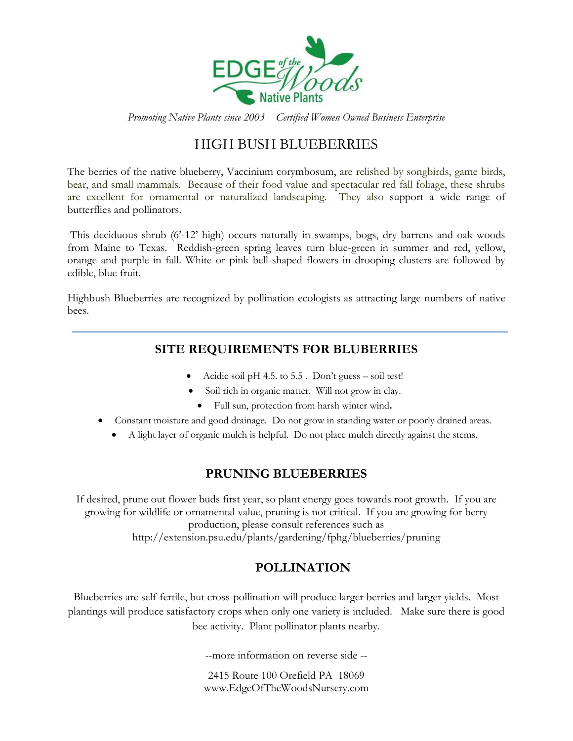

*Promoting Native Plants since 2003 Certified Women Owned Business Enterprise*

# HIGH BUSH BLUEBERRIES

The berries of the native blueberry, Vaccinium corymbosum, are relished by songbirds, game birds, bear, and small mammals. Because of their food value and spectacular red fall foliage, these shrubs are excellent for ornamental or naturalized landscaping. They also support a wide range of butterflies and pollinators.

This deciduous shrub (6'-12' high) occurs naturally in swamps, bogs, dry barrens and oak woods from Maine to Texas. Reddish-green spring leaves turn blue-green in summer and red, yellow, orange and purple in fall. White or pink bell-shaped flowers in drooping clusters are followed by edible, blue fruit.

Highbush Blueberries are recognized by pollination ecologists as attracting large numbers of native bees.

### **SITE REQUIREMENTS FOR BLUBERRIES**

- Acidic soil pH 4.5. to  $5.5$ . Don't guess soil test!
- Soil rich in organic matter. Will not grow in clay.
	- Full sun, protection from harsh winter wind**.**
- Constant moisture and good drainage. Do not grow in standing water or poorly drained areas.
	- A light layer of organic mulch is helpful. Do not place mulch directly against the stems.

### **PRUNING BLUEBERRIES**

If desired, prune out flower buds first year, so plant energy goes towards root growth. If you are growing for wildlife or ornamental value, pruning is not critical. If you are growing for berry production, please consult references such as http://extension.psu.edu/plants/gardening/fphg/blueberries/pruning

## **POLLINATION**

Blueberries are self-fertile, but cross-pollination will produce larger berries and larger yields. Most plantings will produce satisfactory crops when only one variety is included. Make sure there is good bee activity. Plant pollinator plants nearby.

--more information on reverse side --

2415 Route 100 Orefield PA 18069 www.EdgeOfTheWoodsNursery.com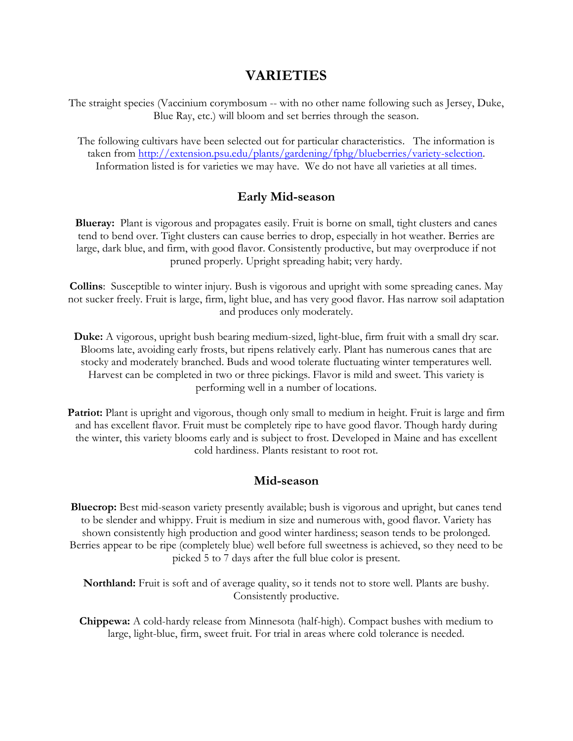## **VARIETIES**

The straight species (Vaccinium corymbosum -- with no other name following such as Jersey, Duke, Blue Ray, etc.) will bloom and set berries through the season.

The following cultivars have been selected out for particular characteristics. The information is taken from [http://extension.psu.edu/plants/gardening/fphg/blueberries/variety-selection.](http://extension.psu.edu/plants/gardening/fphg/blueberries/variety-selection) Information listed is for varieties we may have. We do not have all varieties at all times.

#### **Early Mid-season**

**Blueray:** Plant is vigorous and propagates easily. Fruit is borne on small, tight clusters and canes tend to bend over. Tight clusters can cause berries to drop, especially in hot weather. Berries are large, dark blue, and firm, with good flavor. Consistently productive, but may overproduce if not pruned properly. Upright spreading habit; very hardy.

**Collins**: Susceptible to winter injury. Bush is vigorous and upright with some spreading canes. May not sucker freely. Fruit is large, firm, light blue, and has very good flavor. Has narrow soil adaptation and produces only moderately.

**Duke:** A vigorous, upright bush bearing medium-sized, light-blue, firm fruit with a small dry scar. Blooms late, avoiding early frosts, but ripens relatively early. Plant has numerous canes that are stocky and moderately branched. Buds and wood tolerate fluctuating winter temperatures well. Harvest can be completed in two or three pickings. Flavor is mild and sweet. This variety is performing well in a number of locations.

**Patriot:** Plant is upright and vigorous, though only small to medium in height. Fruit is large and firm and has excellent flavor. Fruit must be completely ripe to have good flavor. Though hardy during the winter, this variety blooms early and is subject to frost. Developed in Maine and has excellent cold hardiness. Plants resistant to root rot.

#### **Mid-season**

**Bluecrop:** Best mid-season variety presently available; bush is vigorous and upright, but canes tend to be slender and whippy. Fruit is medium in size and numerous with, good flavor. Variety has shown consistently high production and good winter hardiness; season tends to be prolonged. Berries appear to be ripe (completely blue) well before full sweetness is achieved, so they need to be picked 5 to 7 days after the full blue color is present.

**Northland:** Fruit is soft and of average quality, so it tends not to store well. Plants are bushy. Consistently productive.

**Chippewa:** A cold-hardy release from Minnesota (half-high). Compact bushes with medium to large, light-blue, firm, sweet fruit. For trial in areas where cold tolerance is needed.